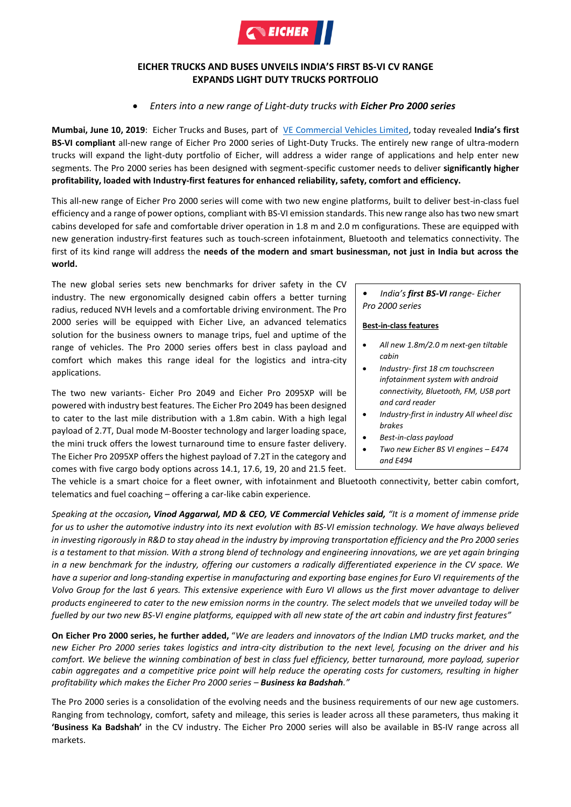

# **EICHER TRUCKS AND BUSES UNVEILS INDIA'S FIRST BS-VI CV RANGE EXPANDS LIGHT DUTY TRUCKS PORTFOLIO**

## *Enters into a new range of Light-duty trucks with Eicher Pro 2000 series*

**Mumbai, June 10, 2019**: Eicher Trucks and Buses, part of [VE Commercial Vehicles](http://www.vecv.in/) Limited, today revealed **India's first BS-VI compliant** all-new range of Eicher Pro 2000 series of Light-Duty Trucks. The entirely new range of ultra-modern trucks will expand the light-duty portfolio of Eicher, will address a wider range of applications and help enter new segments. The Pro 2000 series has been designed with segment-specific customer needs to deliver **significantly higher profitability, loaded with Industry-first features for enhanced reliability, safety, comfort and efficiency.** 

This all-new range of Eicher Pro 2000 series will come with two new engine platforms, built to deliver best-in-class fuel efficiency and a range of power options, compliant with BS-VI emission standards. This new range also has two new smart cabins developed for safe and comfortable driver operation in 1.8 m and 2.0 m configurations. These are equipped with new generation industry-first features such as touch-screen infotainment, Bluetooth and telematics connectivity. The first of its kind range will address the **needs of the modern and smart businessman, not just in India but across the world.**

The new global series sets new benchmarks for driver safety in the CV industry. The new ergonomically designed cabin offers a better turning radius, reduced NVH levels and a comfortable driving environment. The Pro 2000 series will be equipped with Eicher Live, an advanced telematics solution for the business owners to manage trips, fuel and uptime of the range of vehicles. The Pro 2000 series offers best in class payload and comfort which makes this range ideal for the logistics and intra-city applications.

The two new variants- Eicher Pro 2049 and Eicher Pro 2095XP will be powered with industry best features. The Eicher Pro 2049 has been designed to cater to the last mile distribution with a 1.8m cabin. With a high legal payload of 2.7T, Dual mode M-Booster technology and larger loading space, the mini truck offers the lowest turnaround time to ensure faster delivery. The Eicher Pro 2095XP offers the highest payload of 7.2T in the category and comes with five cargo body options across 14.1, 17.6, 19, 20 and 21.5 feet.

### *• India's first BS-VI range- Eicher Pro 2000 series*

#### **Best-in-class features**

- *All new 1.8m/2.0 m next-gen tiltable cabin*
- *Industry- first 18 cm touchscreen infotainment system with android connectivity, Bluetooth, FM, USB port and card reader*
- *Industry-first in industry All wheel disc brakes*
- *Best-in-class payload*
- *Two new Eicher BS VI engines – E474 and E494*

The vehicle is a smart choice for a fleet owner, with infotainment and Bluetooth connectivity, better cabin comfort, telematics and fuel coaching – offering a car-like cabin experience. *Dual Mode Mbooster*

*Speaking at the occasion, Vinod Aggarwal, MD & CEO, VE Commercial Vehicles said, "It is a moment of immense pride for us to usher the automotive industry into its next evolution with BS-VI emission technology. We have always believed in investing rigorously in R&D to stay ahead in the industry by improving transportation efficiency and the Pro 2000 series is a testament to that mission. With a strong blend of technology and engineering innovations, we are yet again bringing in a new benchmark for the industry, offering our customers a radically differentiated experience in the CV space. We have a superior and long-standing expertise in manufacturing and exporting base engines for Euro VI requirements of the Volvo Group for the last 6 years. This extensive experience with Euro VI allows us the first mover advantage to deliver products engineered to cater to the new emission norms in the country. The select models that we unveiled today will be fuelled by our two new BS-VI engine platforms, equipped with all new state of the art cabin and industry first features"*

**On Eicher Pro 2000 series, he further added,** "*We are leaders and innovators of the Indian LMD trucks market, and the new Eicher Pro 2000 series takes logistics and intra-city distribution to the next level, focusing on the driver and his comfort. We believe the winning combination of best in class fuel efficiency, better turnaround, more payload, superior cabin aggregates and a competitive price point will help reduce the operating costs for customers, resulting in higher profitability which makes the Eicher Pro 2000 series – Business ka Badshah."*

The Pro 2000 series is a consolidation of the evolving needs and the business requirements of our new age customers. Ranging from technology, comfort, safety and mileage, this series is leader across all these parameters, thus making it **'Business Ka Badshah'** in the CV industry. The Eicher Pro 2000 series will also be available in BS-IV range across all markets.